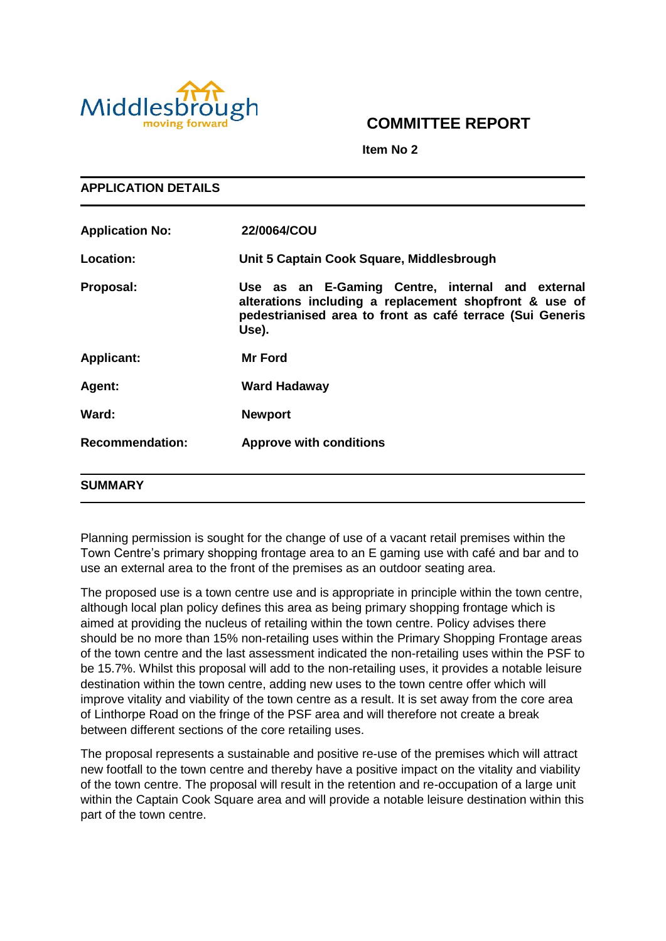

# **COMMITTEE REPORT**

**Item No 2**

**APPLICATION DETAILS**

| <b>Application No:</b> | 22/0064/COU                                                                                                                                                                      |
|------------------------|----------------------------------------------------------------------------------------------------------------------------------------------------------------------------------|
| Location:              | Unit 5 Captain Cook Square, Middlesbrough                                                                                                                                        |
| Proposal:              | Use as an E-Gaming Centre, internal and external<br>alterations including a replacement shopfront & use of<br>pedestrianised area to front as café terrace (Sui Generis<br>Use). |
| <b>Applicant:</b>      | <b>Mr Ford</b>                                                                                                                                                                   |
| Agent:                 | <b>Ward Hadaway</b>                                                                                                                                                              |
| Ward:                  | <b>Newport</b>                                                                                                                                                                   |
| <b>Recommendation:</b> | <b>Approve with conditions</b>                                                                                                                                                   |
| <b>SUMMARY</b>         |                                                                                                                                                                                  |

Planning permission is sought for the change of use of a vacant retail premises within the Town Centre's primary shopping frontage area to an E gaming use with café and bar and to use an external area to the front of the premises as an outdoor seating area.

The proposed use is a town centre use and is appropriate in principle within the town centre, although local plan policy defines this area as being primary shopping frontage which is aimed at providing the nucleus of retailing within the town centre. Policy advises there should be no more than 15% non-retailing uses within the Primary Shopping Frontage areas of the town centre and the last assessment indicated the non-retailing uses within the PSF to be 15.7%. Whilst this proposal will add to the non-retailing uses, it provides a notable leisure destination within the town centre, adding new uses to the town centre offer which will improve vitality and viability of the town centre as a result. It is set away from the core area of Linthorpe Road on the fringe of the PSF area and will therefore not create a break between different sections of the core retailing uses.

The proposal represents a sustainable and positive re-use of the premises which will attract new footfall to the town centre and thereby have a positive impact on the vitality and viability of the town centre. The proposal will result in the retention and re-occupation of a large unit within the Captain Cook Square area and will provide a notable leisure destination within this part of the town centre.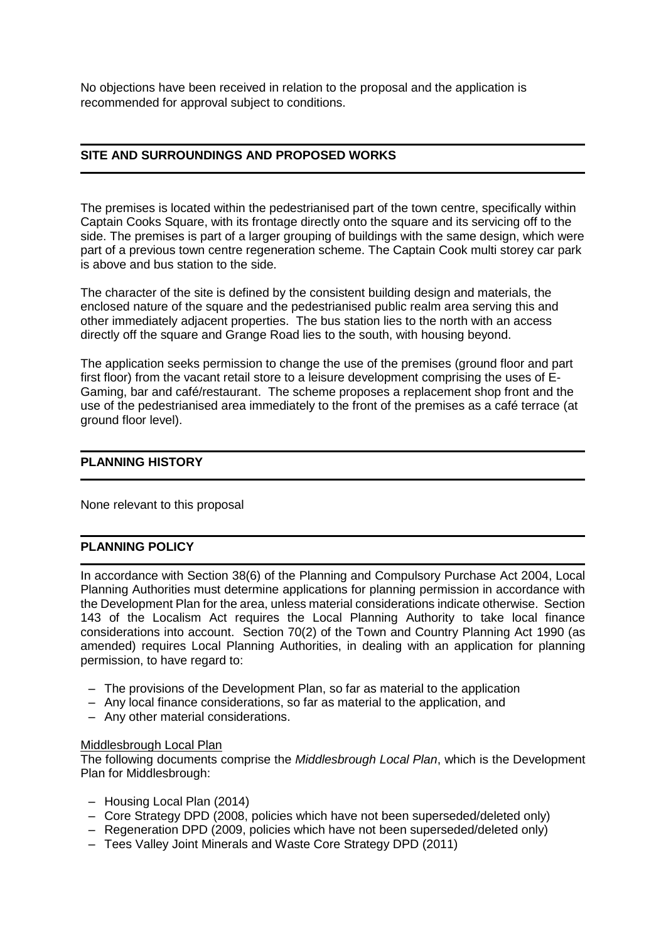No objections have been received in relation to the proposal and the application is recommended for approval subject to conditions.

# **SITE AND SURROUNDINGS AND PROPOSED WORKS**

The premises is located within the pedestrianised part of the town centre, specifically within Captain Cooks Square, with its frontage directly onto the square and its servicing off to the side. The premises is part of a larger grouping of buildings with the same design, which were part of a previous town centre regeneration scheme. The Captain Cook multi storey car park is above and bus station to the side.

The character of the site is defined by the consistent building design and materials, the enclosed nature of the square and the pedestrianised public realm area serving this and other immediately adjacent properties. The bus station lies to the north with an access directly off the square and Grange Road lies to the south, with housing beyond.

The application seeks permission to change the use of the premises (ground floor and part first floor) from the vacant retail store to a leisure development comprising the uses of E-Gaming, bar and café/restaurant. The scheme proposes a replacement shop front and the use of the pedestrianised area immediately to the front of the premises as a café terrace (at ground floor level).

#### **PLANNING HISTORY**

None relevant to this proposal

# **PLANNING POLICY**

In accordance with Section 38(6) of the Planning and Compulsory Purchase Act 2004, Local Planning Authorities must determine applications for planning permission in accordance with the Development Plan for the area, unless material considerations indicate otherwise. Section 143 of the Localism Act requires the Local Planning Authority to take local finance considerations into account. Section 70(2) of the Town and Country Planning Act 1990 (as amended) requires Local Planning Authorities, in dealing with an application for planning permission, to have regard to:

- The provisions of the Development Plan, so far as material to the application
- Any local finance considerations, so far as material to the application, and
- Any other material considerations.

#### Middlesbrough Local Plan

The following documents comprise the *Middlesbrough Local Plan*, which is the Development Plan for Middlesbrough:

- Housing Local Plan (2014)
- Core Strategy DPD (2008, policies which have not been superseded/deleted only)
- Regeneration DPD (2009, policies which have not been superseded/deleted only)
- Tees Valley Joint Minerals and Waste Core Strategy DPD (2011)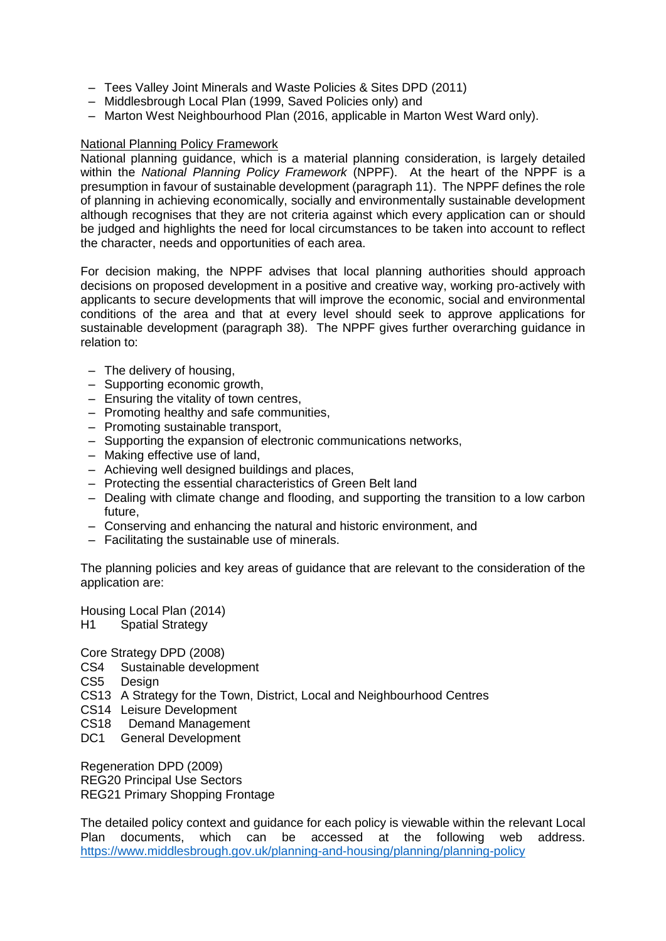- Tees Valley Joint Minerals and Waste Policies & Sites DPD (2011)
- Middlesbrough Local Plan (1999, Saved Policies only) and
- Marton West Neighbourhood Plan (2016, applicable in Marton West Ward only).

#### National Planning Policy Framework

National planning guidance, which is a material planning consideration, is largely detailed within the *National Planning Policy Framework* (NPPF). At the heart of the NPPF is a presumption in favour of sustainable development (paragraph 11). The NPPF defines the role of planning in achieving economically, socially and environmentally sustainable development although recognises that they are not criteria against which every application can or should be judged and highlights the need for local circumstances to be taken into account to reflect the character, needs and opportunities of each area.

For decision making, the NPPF advises that local planning authorities should approach decisions on proposed development in a positive and creative way, working pro-actively with applicants to secure developments that will improve the economic, social and environmental conditions of the area and that at every level should seek to approve applications for sustainable development (paragraph 38). The NPPF gives further overarching guidance in relation to:

- The delivery of housing,
- Supporting economic growth,
- Ensuring the vitality of town centres,
- Promoting healthy and safe communities,
- Promoting sustainable transport,
- Supporting the expansion of electronic communications networks,
- Making effective use of land,
- Achieving well designed buildings and places,
- Protecting the essential characteristics of Green Belt land
- Dealing with climate change and flooding, and supporting the transition to a low carbon future,
- Conserving and enhancing the natural and historic environment, and
- Facilitating the sustainable use of minerals.

The planning policies and key areas of guidance that are relevant to the consideration of the application are:

Housing Local Plan (2014) H1 Spatial Strategy

Core Strategy DPD (2008)

- CS4 Sustainable development
- CS5 Design
- CS13 A Strategy for the Town, District, Local and Neighbourhood Centres
- CS14 Leisure Development
- CS18 Demand Management
- DC1 General Development

Regeneration DPD (2009) REG20 Principal Use Sectors REG21 Primary Shopping Frontage

The detailed policy context and guidance for each policy is viewable within the relevant Local Plan documents, which can be accessed at the following web address. <https://www.middlesbrough.gov.uk/planning-and-housing/planning/planning-policy>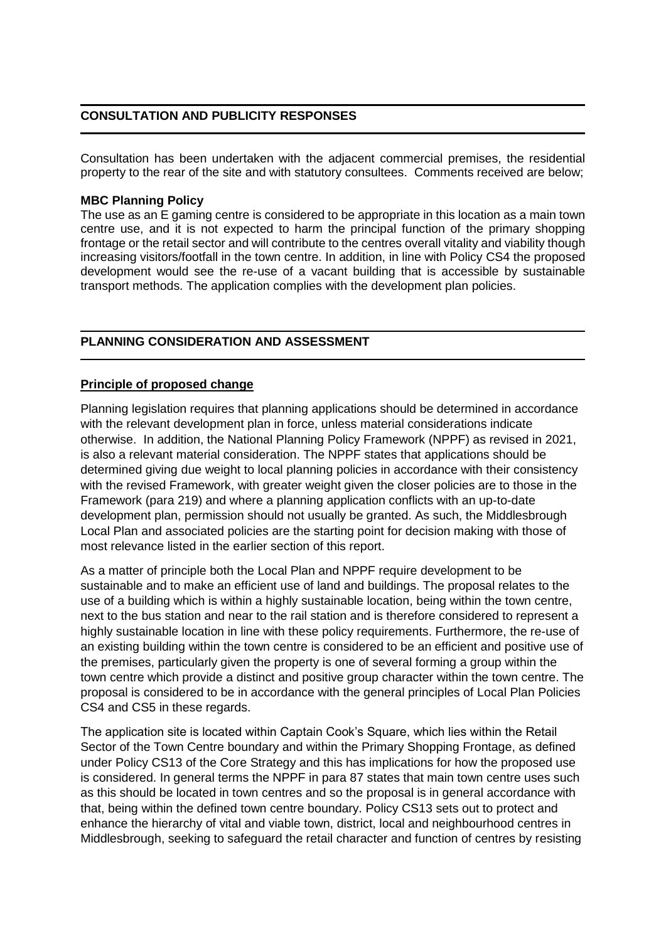# **CONSULTATION AND PUBLICITY RESPONSES**

Consultation has been undertaken with the adjacent commercial premises, the residential property to the rear of the site and with statutory consultees. Comments received are below;

#### **MBC Planning Policy**

The use as an E gaming centre is considered to be appropriate in this location as a main town centre use, and it is not expected to harm the principal function of the primary shopping frontage or the retail sector and will contribute to the centres overall vitality and viability though increasing visitors/footfall in the town centre. In addition, in line with Policy CS4 the proposed development would see the re-use of a vacant building that is accessible by sustainable transport methods. The application complies with the development plan policies.

#### **PLANNING CONSIDERATION AND ASSESSMENT**

#### **Principle of proposed change**

Planning legislation requires that planning applications should be determined in accordance with the relevant development plan in force, unless material considerations indicate otherwise. In addition, the National Planning Policy Framework (NPPF) as revised in 2021, is also a relevant material consideration. The NPPF states that applications should be determined giving due weight to local planning policies in accordance with their consistency with the revised Framework, with greater weight given the closer policies are to those in the Framework (para 219) and where a planning application conflicts with an up-to-date development plan, permission should not usually be granted. As such, the Middlesbrough Local Plan and associated policies are the starting point for decision making with those of most relevance listed in the earlier section of this report.

As a matter of principle both the Local Plan and NPPF require development to be sustainable and to make an efficient use of land and buildings. The proposal relates to the use of a building which is within a highly sustainable location, being within the town centre, next to the bus station and near to the rail station and is therefore considered to represent a highly sustainable location in line with these policy requirements. Furthermore, the re-use of an existing building within the town centre is considered to be an efficient and positive use of the premises, particularly given the property is one of several forming a group within the town centre which provide a distinct and positive group character within the town centre. The proposal is considered to be in accordance with the general principles of Local Plan Policies CS4 and CS5 in these regards.

The application site is located within Captain Cook's Square, which lies within the Retail Sector of the Town Centre boundary and within the Primary Shopping Frontage, as defined under Policy CS13 of the Core Strategy and this has implications for how the proposed use is considered. In general terms the NPPF in para 87 states that main town centre uses such as this should be located in town centres and so the proposal is in general accordance with that, being within the defined town centre boundary. Policy CS13 sets out to protect and enhance the hierarchy of vital and viable town, district, local and neighbourhood centres in Middlesbrough, seeking to safeguard the retail character and function of centres by resisting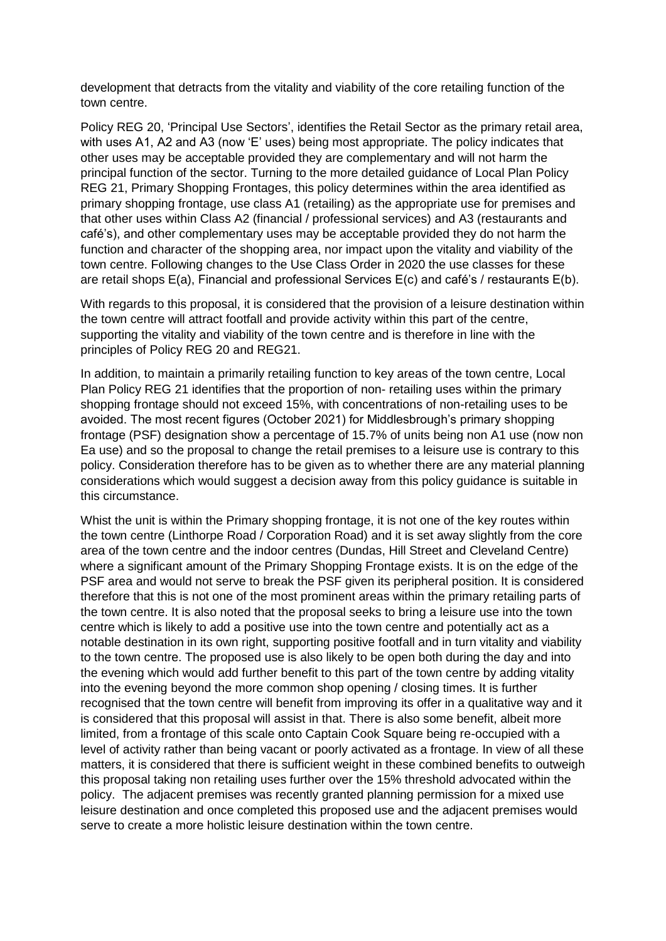development that detracts from the vitality and viability of the core retailing function of the town centre.

Policy REG 20, 'Principal Use Sectors', identifies the Retail Sector as the primary retail area, with uses A1, A2 and A3 (now 'E' uses) being most appropriate. The policy indicates that other uses may be acceptable provided they are complementary and will not harm the principal function of the sector. Turning to the more detailed guidance of Local Plan Policy REG 21, Primary Shopping Frontages, this policy determines within the area identified as primary shopping frontage, use class A1 (retailing) as the appropriate use for premises and that other uses within Class A2 (financial / professional services) and A3 (restaurants and café's), and other complementary uses may be acceptable provided they do not harm the function and character of the shopping area, nor impact upon the vitality and viability of the town centre. Following changes to the Use Class Order in 2020 the use classes for these are retail shops E(a), Financial and professional Services E(c) and café's / restaurants E(b).

With regards to this proposal, it is considered that the provision of a leisure destination within the town centre will attract footfall and provide activity within this part of the centre, supporting the vitality and viability of the town centre and is therefore in line with the principles of Policy REG 20 and REG21.

In addition, to maintain a primarily retailing function to key areas of the town centre, Local Plan Policy REG 21 identifies that the proportion of non- retailing uses within the primary shopping frontage should not exceed 15%, with concentrations of non-retailing uses to be avoided. The most recent figures (October 2021) for Middlesbrough's primary shopping frontage (PSF) designation show a percentage of 15.7% of units being non A1 use (now non Ea use) and so the proposal to change the retail premises to a leisure use is contrary to this policy. Consideration therefore has to be given as to whether there are any material planning considerations which would suggest a decision away from this policy guidance is suitable in this circumstance.

Whist the unit is within the Primary shopping frontage, it is not one of the key routes within the town centre (Linthorpe Road / Corporation Road) and it is set away slightly from the core area of the town centre and the indoor centres (Dundas, Hill Street and Cleveland Centre) where a significant amount of the Primary Shopping Frontage exists. It is on the edge of the PSF area and would not serve to break the PSF given its peripheral position. It is considered therefore that this is not one of the most prominent areas within the primary retailing parts of the town centre. It is also noted that the proposal seeks to bring a leisure use into the town centre which is likely to add a positive use into the town centre and potentially act as a notable destination in its own right, supporting positive footfall and in turn vitality and viability to the town centre. The proposed use is also likely to be open both during the day and into the evening which would add further benefit to this part of the town centre by adding vitality into the evening beyond the more common shop opening / closing times. It is further recognised that the town centre will benefit from improving its offer in a qualitative way and it is considered that this proposal will assist in that. There is also some benefit, albeit more limited, from a frontage of this scale onto Captain Cook Square being re-occupied with a level of activity rather than being vacant or poorly activated as a frontage. In view of all these matters, it is considered that there is sufficient weight in these combined benefits to outweigh this proposal taking non retailing uses further over the 15% threshold advocated within the policy. The adjacent premises was recently granted planning permission for a mixed use leisure destination and once completed this proposed use and the adjacent premises would serve to create a more holistic leisure destination within the town centre.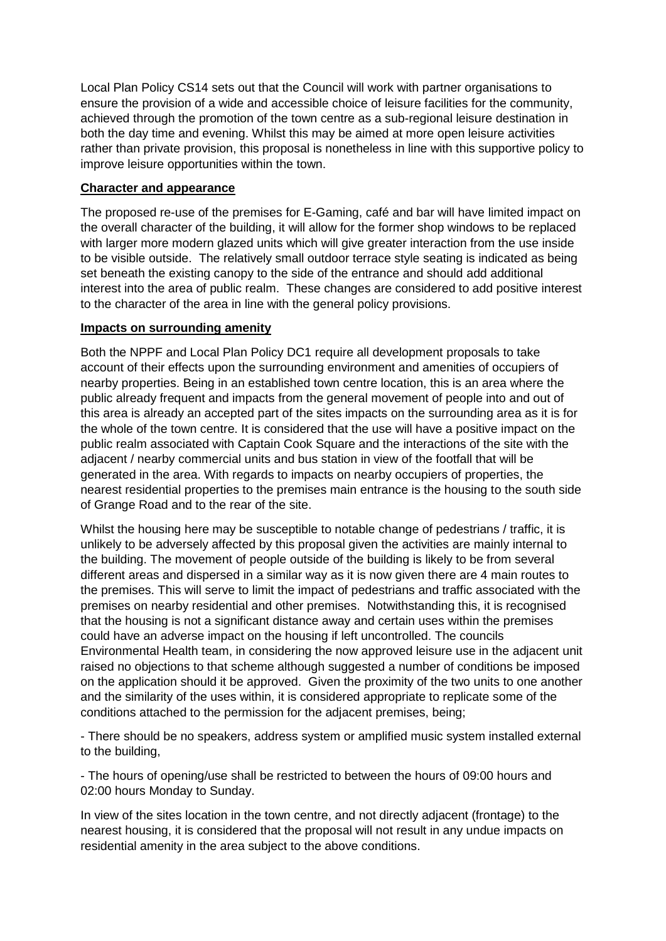Local Plan Policy CS14 sets out that the Council will work with partner organisations to ensure the provision of a wide and accessible choice of leisure facilities for the community, achieved through the promotion of the town centre as a sub-regional leisure destination in both the day time and evening. Whilst this may be aimed at more open leisure activities rather than private provision, this proposal is nonetheless in line with this supportive policy to improve leisure opportunities within the town.

# **Character and appearance**

The proposed re-use of the premises for E-Gaming, café and bar will have limited impact on the overall character of the building, it will allow for the former shop windows to be replaced with larger more modern glazed units which will give greater interaction from the use inside to be visible outside. The relatively small outdoor terrace style seating is indicated as being set beneath the existing canopy to the side of the entrance and should add additional interest into the area of public realm. These changes are considered to add positive interest to the character of the area in line with the general policy provisions.

# **Impacts on surrounding amenity**

Both the NPPF and Local Plan Policy DC1 require all development proposals to take account of their effects upon the surrounding environment and amenities of occupiers of nearby properties. Being in an established town centre location, this is an area where the public already frequent and impacts from the general movement of people into and out of this area is already an accepted part of the sites impacts on the surrounding area as it is for the whole of the town centre. It is considered that the use will have a positive impact on the public realm associated with Captain Cook Square and the interactions of the site with the adjacent / nearby commercial units and bus station in view of the footfall that will be generated in the area. With regards to impacts on nearby occupiers of properties, the nearest residential properties to the premises main entrance is the housing to the south side of Grange Road and to the rear of the site.

Whilst the housing here may be susceptible to notable change of pedestrians / traffic, it is unlikely to be adversely affected by this proposal given the activities are mainly internal to the building. The movement of people outside of the building is likely to be from several different areas and dispersed in a similar way as it is now given there are 4 main routes to the premises. This will serve to limit the impact of pedestrians and traffic associated with the premises on nearby residential and other premises. Notwithstanding this, it is recognised that the housing is not a significant distance away and certain uses within the premises could have an adverse impact on the housing if left uncontrolled. The councils Environmental Health team, in considering the now approved leisure use in the adjacent unit raised no objections to that scheme although suggested a number of conditions be imposed on the application should it be approved. Given the proximity of the two units to one another and the similarity of the uses within, it is considered appropriate to replicate some of the conditions attached to the permission for the adjacent premises, being;

- There should be no speakers, address system or amplified music system installed external to the building,

- The hours of opening/use shall be restricted to between the hours of 09:00 hours and 02:00 hours Monday to Sunday.

In view of the sites location in the town centre, and not directly adjacent (frontage) to the nearest housing, it is considered that the proposal will not result in any undue impacts on residential amenity in the area subject to the above conditions.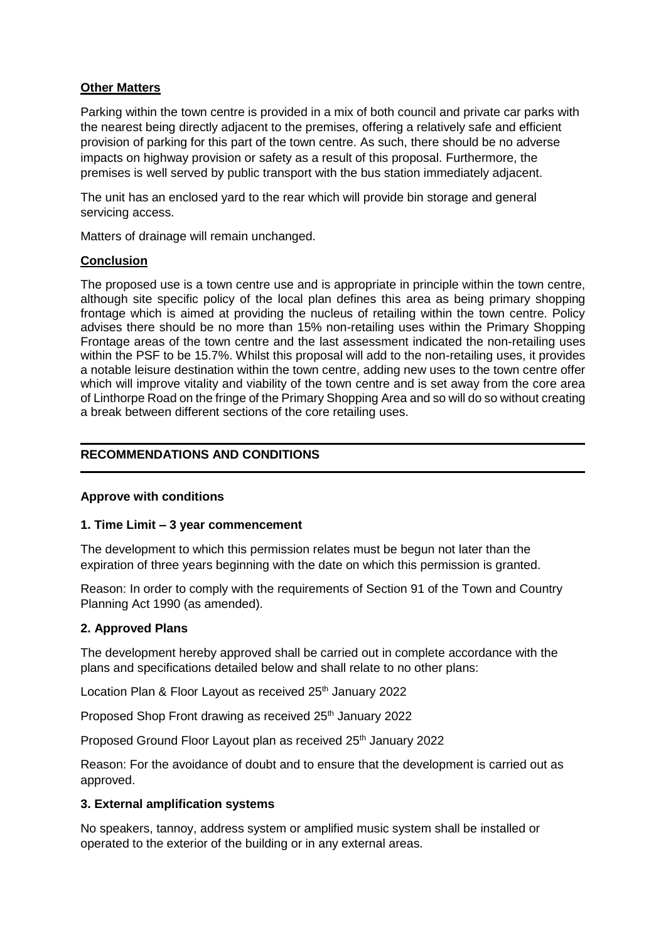# **Other Matters**

Parking within the town centre is provided in a mix of both council and private car parks with the nearest being directly adjacent to the premises, offering a relatively safe and efficient provision of parking for this part of the town centre. As such, there should be no adverse impacts on highway provision or safety as a result of this proposal. Furthermore, the premises is well served by public transport with the bus station immediately adjacent.

The unit has an enclosed yard to the rear which will provide bin storage and general servicing access.

Matters of drainage will remain unchanged.

#### **Conclusion**

The proposed use is a town centre use and is appropriate in principle within the town centre, although site specific policy of the local plan defines this area as being primary shopping frontage which is aimed at providing the nucleus of retailing within the town centre. Policy advises there should be no more than 15% non-retailing uses within the Primary Shopping Frontage areas of the town centre and the last assessment indicated the non-retailing uses within the PSF to be 15.7%. Whilst this proposal will add to the non-retailing uses, it provides a notable leisure destination within the town centre, adding new uses to the town centre offer which will improve vitality and viability of the town centre and is set away from the core area of Linthorpe Road on the fringe of the Primary Shopping Area and so will do so without creating a break between different sections of the core retailing uses.

# **RECOMMENDATIONS AND CONDITIONS**

#### **Approve with conditions**

#### **1. Time Limit – 3 year commencement**

The development to which this permission relates must be begun not later than the expiration of three years beginning with the date on which this permission is granted.

Reason: In order to comply with the requirements of Section 91 of the Town and Country Planning Act 1990 (as amended).

#### **2. Approved Plans**

The development hereby approved shall be carried out in complete accordance with the plans and specifications detailed below and shall relate to no other plans:

Location Plan & Floor Layout as received 25<sup>th</sup> January 2022

Proposed Shop Front drawing as received 25<sup>th</sup> January 2022

Proposed Ground Floor Layout plan as received 25<sup>th</sup> January 2022

Reason: For the avoidance of doubt and to ensure that the development is carried out as approved.

#### **3. External amplification systems**

No speakers, tannoy, address system or amplified music system shall be installed or operated to the exterior of the building or in any external areas.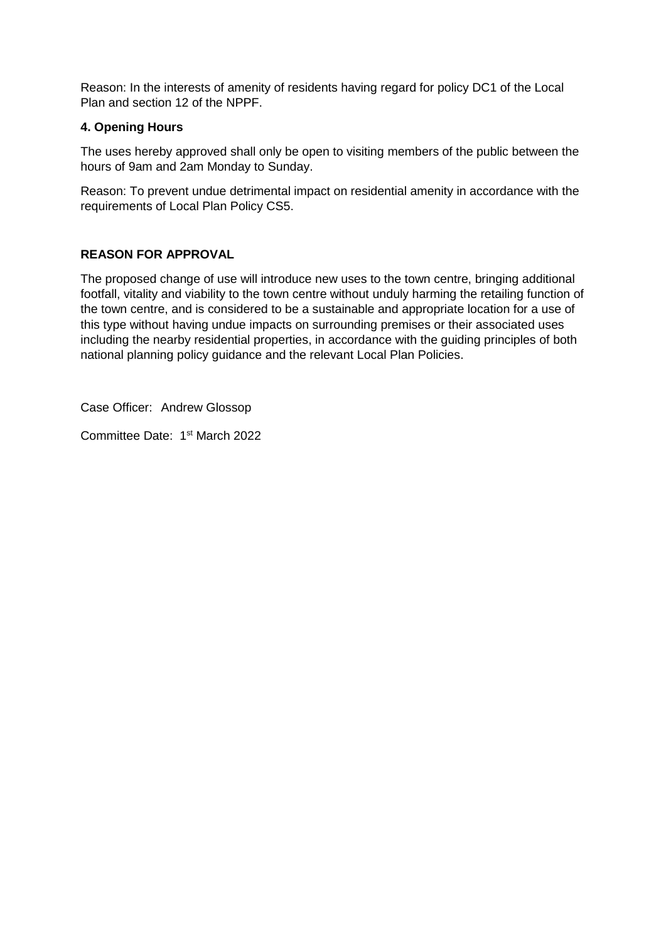Reason: In the interests of amenity of residents having regard for policy DC1 of the Local Plan and section 12 of the NPPF.

#### **4. Opening Hours**

The uses hereby approved shall only be open to visiting members of the public between the hours of 9am and 2am Monday to Sunday.

Reason: To prevent undue detrimental impact on residential amenity in accordance with the requirements of Local Plan Policy CS5.

# **REASON FOR APPROVAL**

The proposed change of use will introduce new uses to the town centre, bringing additional footfall, vitality and viability to the town centre without unduly harming the retailing function of the town centre, and is considered to be a sustainable and appropriate location for a use of this type without having undue impacts on surrounding premises or their associated uses including the nearby residential properties, in accordance with the guiding principles of both national planning policy guidance and the relevant Local Plan Policies.

Case Officer: Andrew Glossop

Committee Date: 1st March 2022